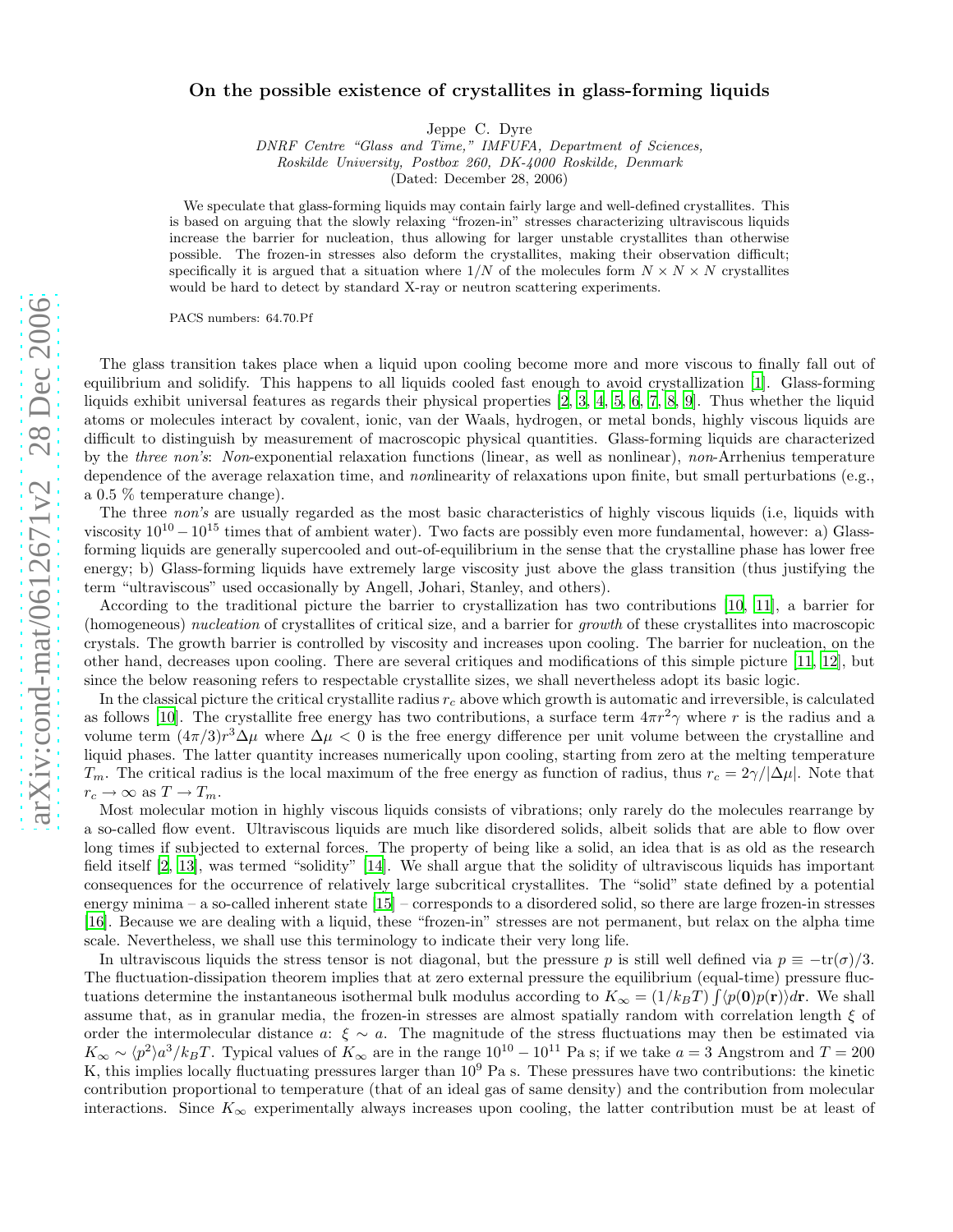## On the possible existence of crystallites in glass-forming liquids

Jeppe C. Dyre

DNRF Centre "Glass and Time," IMFUFA, Department of Sciences, Roskilde University, Postbox 260, DK-4000 Roskilde, Denmark

(Dated: December 28, 2006)

We speculate that glass-forming liquids may contain fairly large and well-defined crystallites. This is based on arguing that the slowly relaxing "frozen-in" stresses characterizing ultraviscous liquids increase the barrier for nucleation, thus allowing for larger unstable crystallites than otherwise possible. The frozen-in stresses also deform the crystallites, making their observation difficult; specifically it is argued that a situation where  $1/N$  of the molecules form  $N \times N \times N$  crystallites would be hard to detect by standard X-ray or neutron scattering experiments.

PACS numbers: 64.70.Pf

The glass transition takes place when a liquid upon cooling become more and more viscous to finally fall out of equilibrium and solidify. This happens to all liquids cooled fast enough to avoid crystallization [\[1\]](#page-2-0). Glass-forming liquids exhibit universal features as regards their physical properties [\[2](#page-2-1), [3,](#page-2-2) [4](#page-2-3), [5,](#page-2-4) [6](#page-2-5), [7,](#page-2-6) [8,](#page-2-7) [9](#page-2-8)]. Thus whether the liquid atoms or molecules interact by covalent, ionic, van der Waals, hydrogen, or metal bonds, highly viscous liquids are difficult to distinguish by measurement of macroscopic physical quantities. Glass-forming liquids are characterized by the three non's: Non-exponential relaxation functions (linear, as well as nonlinear), non-Arrhenius temperature dependence of the average relaxation time, and nonlinearity of relaxations upon finite, but small perturbations (e.g., a 0.5 % temperature change).

The three non's are usually regarded as the most basic characteristics of highly viscous liquids (i.e, liquids with viscosity  $10^{10} - 10^{15}$  times that of ambient water). Two facts are possibly even more fundamental, however: a) Glassforming liquids are generally supercooled and out-of-equilibrium in the sense that the crystalline phase has lower free energy; b) Glass-forming liquids have extremely large viscosity just above the glass transition (thus justifying the term "ultraviscous" used occasionally by Angell, Johari, Stanley, and others).

According to the traditional picture the barrier to crystallization has two contributions [\[10,](#page-2-9) [11\]](#page-2-10), a barrier for (homogeneous) nucleation of crystallites of critical size, and a barrier for growth of these crystallites into macroscopic crystals. The growth barrier is controlled by viscosity and increases upon cooling. The barrier for nucleation, on the other hand, decreases upon cooling. There are several critiques and modifications of this simple picture [\[11](#page-2-10), [12](#page-2-11)], but since the below reasoning refers to respectable crystallite sizes, we shall nevertheless adopt its basic logic.

In the classical picture the critical crystallite radius  $r_c$  above which growth is automatic and irreversible, is calculated as follows [\[10\]](#page-2-9). The crystallite free energy has two contributions, a surface term  $4\pi r^2 \gamma$  where r is the radius and a volume term  $(4\pi/3)r^3\Delta\mu$  where  $\Delta\mu < 0$  is the free energy difference per unit volume between the crystalline and liquid phases. The latter quantity increases numerically upon cooling, starting from zero at the melting temperature  $T_m$ . The critical radius is the local maximum of the free energy as function of radius, thus  $r_c = 2\gamma/\Delta\mu$ . Note that  $r_c \to \infty$  as  $T \to T_m$ .

Most molecular motion in highly viscous liquids consists of vibrations; only rarely do the molecules rearrange by a so-called flow event. Ultraviscous liquids are much like disordered solids, albeit solids that are able to flow over long times if subjected to external forces. The property of being like a solid, an idea that is as old as the research field itself [\[2](#page-2-1), [13\]](#page-2-12), was termed "solidity" [\[14](#page-2-13)]. We shall argue that the solidity of ultraviscous liquids has important consequences for the occurrence of relatively large subcritical crystallites. The "solid" state defined by a potential energy minima – a so-called inherent state [\[15\]](#page-2-14) – corresponds to a disordered solid, so there are large frozen-in stresses [\[16\]](#page-3-0). Because we are dealing with a liquid, these "frozen-in" stresses are not permanent, but relax on the alpha time scale. Nevertheless, we shall use this terminology to indicate their very long life.

In ultraviscous liquids the stress tensor is not diagonal, but the pressure p is still well defined via  $p \equiv -\text{tr}(\sigma)/3$ . The fluctuation-dissipation theorem implies that at zero external pressure the equilibrium (equal-time) pressure fluctuations determine the instantaneous isothermal bulk modulus according to  $K_{\infty} = (1/k_B T) \int \langle p(\mathbf{0})p(\mathbf{r}) \rangle d\mathbf{r}$ . We shall assume that, as in granular media, the frozen-in stresses are almost spatially random with correlation length  $\xi$  of order the intermolecular distance a:  $\xi \sim a$ . The magnitude of the stress fluctuations may then be estimated via  $K_{\infty} \sim \langle p^2 \rangle a^3 / k_B T$ . Typical values of  $K_{\infty}$  are in the range  $10^{10} - 10^{11}$  Pa s; if we take  $a = 3$  Angstrom and  $T = 200$ K, this implies locally fluctuating pressures larger than  $10^9$  Pa s. These pressures have two contributions: the kinetic contribution proportional to temperature (that of an ideal gas of same density) and the contribution from molecular interactions. Since  $K_{\infty}$  experimentally always increases upon cooling, the latter contribution must be at least of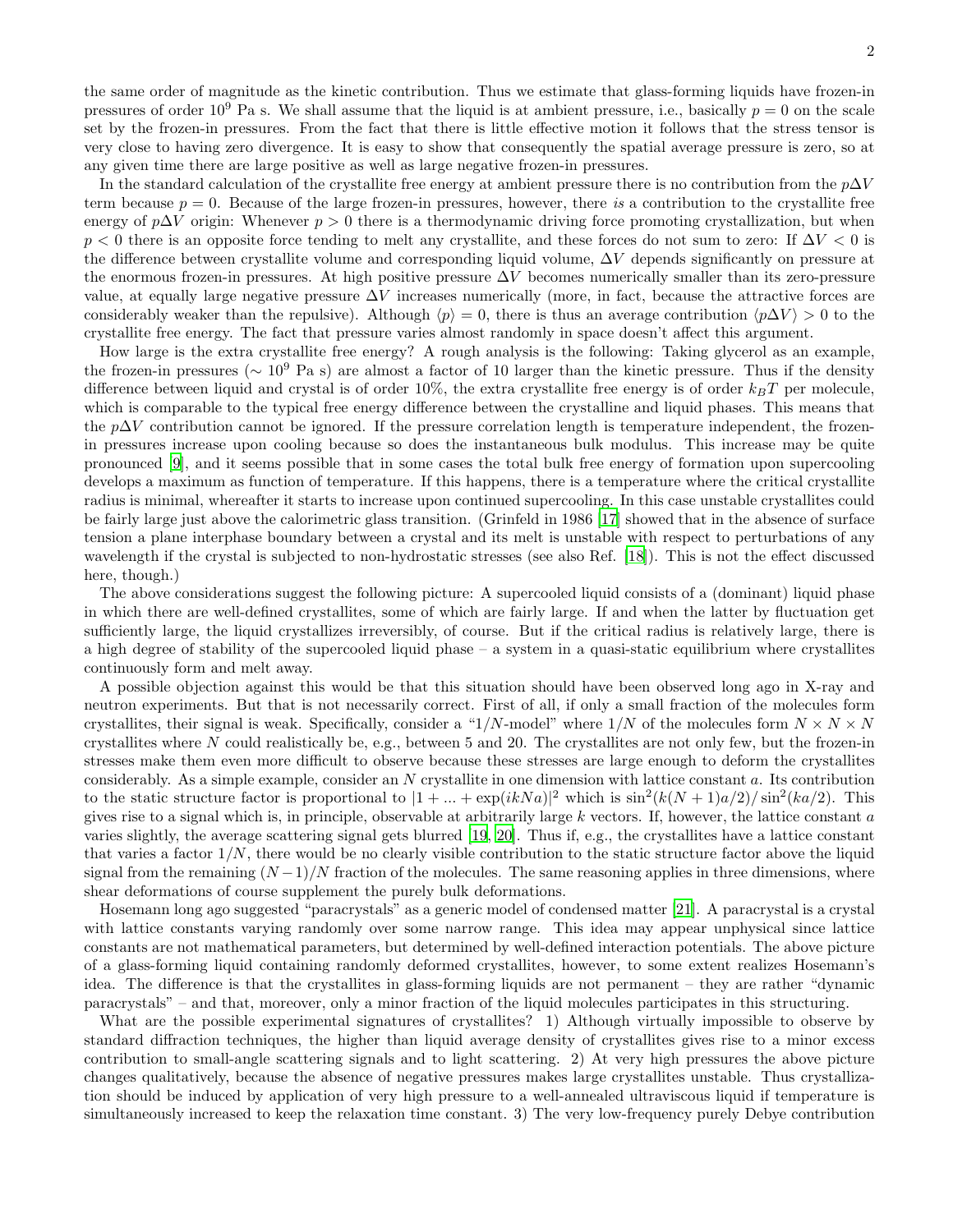the same order of magnitude as the kinetic contribution. Thus we estimate that glass-forming liquids have frozen-in pressures of order  $10^9$  Pa s. We shall assume that the liquid is at ambient pressure, i.e., basically  $p = 0$  on the scale set by the frozen-in pressures. From the fact that there is little effective motion it follows that the stress tensor is very close to having zero divergence. It is easy to show that consequently the spatial average pressure is zero, so at any given time there are large positive as well as large negative frozen-in pressures.

In the standard calculation of the crystallite free energy at ambient pressure there is no contribution from the  $p\Delta V$ term because  $p = 0$ . Because of the large frozen-in pressures, however, there is a contribution to the crystallite free energy of p∆V origin: Whenever  $p > 0$  there is a thermodynamic driving force promoting crystallization, but when  $p < 0$  there is an opposite force tending to melt any crystallite, and these forces do not sum to zero: If  $\Delta V < 0$  is the difference between crystallite volume and corresponding liquid volume, ∆V depends significantly on pressure at the enormous frozen-in pressures. At high positive pressure  $\Delta V$  becomes numerically smaller than its zero-pressure value, at equally large negative pressure  $\Delta V$  increases numerically (more, in fact, because the attractive forces are considerably weaker than the repulsive). Although  $\langle p \rangle = 0$ , there is thus an average contribution  $\langle p\Delta V \rangle > 0$  to the crystallite free energy. The fact that pressure varies almost randomly in space doesn't affect this argument.

How large is the extra crystallite free energy? A rough analysis is the following: Taking glycerol as an example, the frozen-in pressures ( $\sim 10^9$  Pa s) are almost a factor of 10 larger than the kinetic pressure. Thus if the density difference between liquid and crystal is of order 10%, the extra crystallite free energy is of order  $k_BT$  per molecule, which is comparable to the typical free energy difference between the crystalline and liquid phases. This means that the  $p\Delta V$  contribution cannot be ignored. If the pressure correlation length is temperature independent, the frozenin pressures increase upon cooling because so does the instantaneous bulk modulus. This increase may be quite pronounced [\[9\]](#page-2-8), and it seems possible that in some cases the total bulk free energy of formation upon supercooling develops a maximum as function of temperature. If this happens, there is a temperature where the critical crystallite radius is minimal, whereafter it starts to increase upon continued supercooling. In this case unstable crystallites could be fairly large just above the calorimetric glass transition. (Grinfeld in 1986 [\[17](#page-3-1)] showed that in the absence of surface tension a plane interphase boundary between a crystal and its melt is unstable with respect to perturbations of any wavelength if the crystal is subjected to non-hydrostatic stresses (see also Ref. [\[18\]](#page-3-2)). This is not the effect discussed here, though.)

The above considerations suggest the following picture: A supercooled liquid consists of a (dominant) liquid phase in which there are well-defined crystallites, some of which are fairly large. If and when the latter by fluctuation get sufficiently large, the liquid crystallizes irreversibly, of course. But if the critical radius is relatively large, there is a high degree of stability of the supercooled liquid phase – a system in a quasi-static equilibrium where crystallites continuously form and melt away.

A possible objection against this would be that this situation should have been observed long ago in X-ray and neutron experiments. But that is not necessarily correct. First of all, if only a small fraction of the molecules form crystallites, their signal is weak. Specifically, consider a "1/N-model" where  $1/N$  of the molecules form  $N \times N \times N$ crystallites where N could realistically be, e.g., between 5 and 20. The crystallites are not only few, but the frozen-in stresses make them even more difficult to observe because these stresses are large enough to deform the crystallites considerably. As a simple example, consider an N crystallite in one dimension with lattice constant a. Its contribution to the static structure factor is proportional to  $|1 + ... + \exp(ikNa)|^2$  which is  $\sin^2(k(N+1)a/2)/\sin^2(ka/2)$ . This gives rise to a signal which is, in principle, observable at arbitrarily large  $k$  vectors. If, however, the lattice constant  $a$ varies slightly, the average scattering signal gets blurred [\[19](#page-3-3), [20](#page-3-4)]. Thus if, e.g., the crystallites have a lattice constant that varies a factor  $1/N$ , there would be no clearly visible contribution to the static structure factor above the liquid signal from the remaining  $(N-1)/N$  fraction of the molecules. The same reasoning applies in three dimensions, where shear deformations of course supplement the purely bulk deformations.

Hosemann long ago suggested "paracrystals" as a generic model of condensed matter [\[21\]](#page-3-5). A paracrystal is a crystal with lattice constants varying randomly over some narrow range. This idea may appear unphysical since lattice constants are not mathematical parameters, but determined by well-defined interaction potentials. The above picture of a glass-forming liquid containing randomly deformed crystallites, however, to some extent realizes Hosemann's idea. The difference is that the crystallites in glass-forming liquids are not permanent – they are rather "dynamic paracrystals" – and that, moreover, only a minor fraction of the liquid molecules participates in this structuring.

What are the possible experimental signatures of crystallites? 1) Although virtually impossible to observe by standard diffraction techniques, the higher than liquid average density of crystallites gives rise to a minor excess contribution to small-angle scattering signals and to light scattering. 2) At very high pressures the above picture changes qualitatively, because the absence of negative pressures makes large crystallites unstable. Thus crystallization should be induced by application of very high pressure to a well-annealed ultraviscous liquid if temperature is simultaneously increased to keep the relaxation time constant. 3) The very low-frequency purely Debye contribution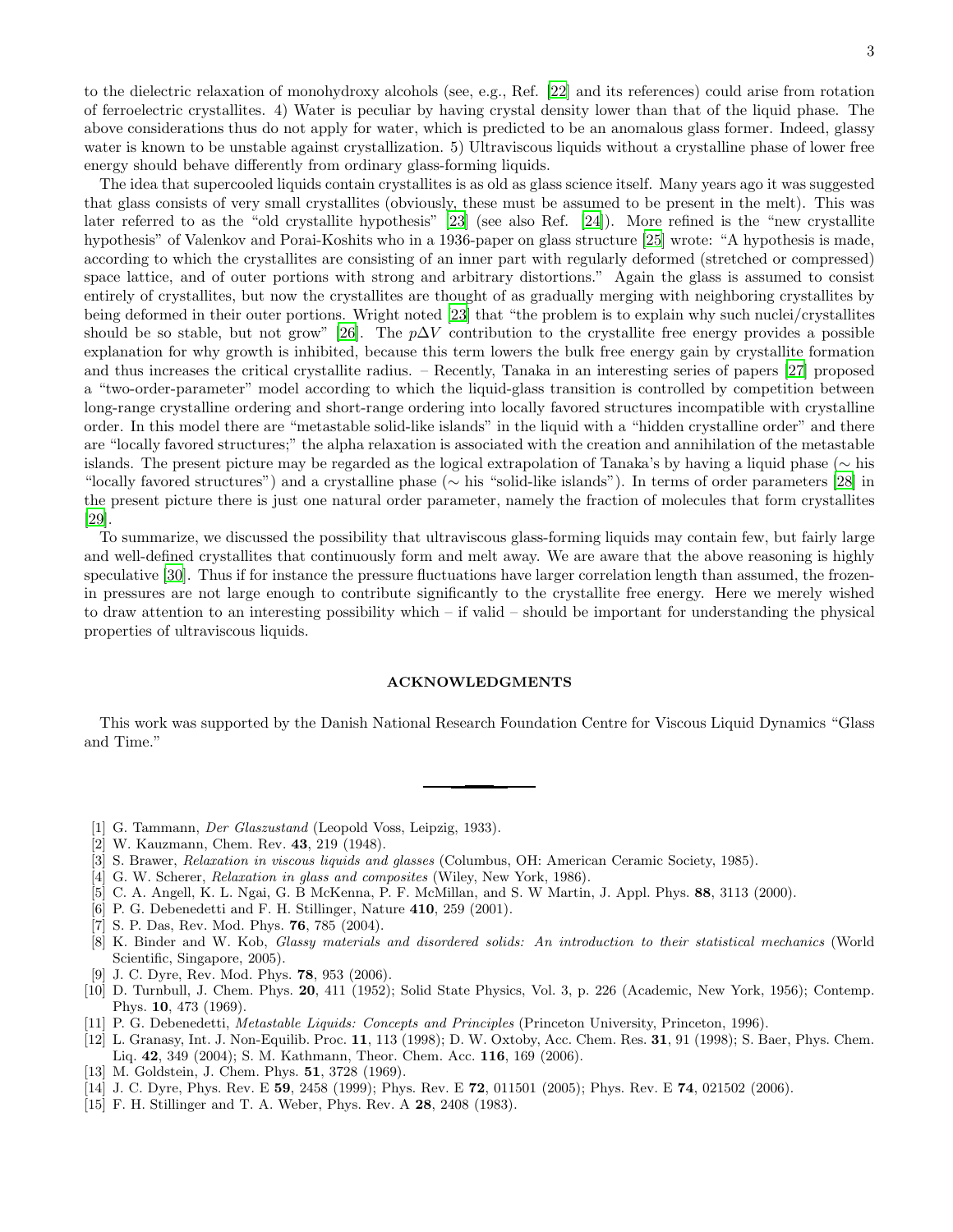to the dielectric relaxation of monohydroxy alcohols (see, e.g., Ref. [\[22\]](#page-3-6) and its references) could arise from rotation of ferroelectric crystallites. 4) Water is peculiar by having crystal density lower than that of the liquid phase. The above considerations thus do not apply for water, which is predicted to be an anomalous glass former. Indeed, glassy water is known to be unstable against crystallization. 5) Ultraviscous liquids without a crystalline phase of lower free energy should behave differently from ordinary glass-forming liquids.

The idea that supercooled liquids contain crystallites is as old as glass science itself. Many years ago it was suggested that glass consists of very small crystallites (obviously, these must be assumed to be present in the melt). This was later referred to as the "old crystallite hypothesis" [\[23\]](#page-3-7) (see also Ref. [\[24\]](#page-3-8)). More refined is the "new crystallite hypothesis" of Valenkov and Porai-Koshits who in a 1936-paper on glass structure [\[25](#page-3-9)] wrote: "A hypothesis is made, according to which the crystallites are consisting of an inner part with regularly deformed (stretched or compressed) space lattice, and of outer portions with strong and arbitrary distortions." Again the glass is assumed to consist entirely of crystallites, but now the crystallites are thought of as gradually merging with neighboring crystallites by being deformed in their outer portions. Wright noted [\[23\]](#page-3-7) that "the problem is to explain why such nuclei/crystallites should be so stable, but not grow" [\[26](#page-3-10)]. The  $p\Delta V$  contribution to the crystallite free energy provides a possible explanation for why growth is inhibited, because this term lowers the bulk free energy gain by crystallite formation and thus increases the critical crystallite radius. – Recently, Tanaka in an interesting series of papers [\[27\]](#page-3-11) proposed a "two-order-parameter" model according to which the liquid-glass transition is controlled by competition between long-range crystalline ordering and short-range ordering into locally favored structures incompatible with crystalline order. In this model there are "metastable solid-like islands" in the liquid with a "hidden crystalline order" and there are "locally favored structures;" the alpha relaxation is associated with the creation and annihilation of the metastable islands. The present picture may be regarded as the logical extrapolation of Tanaka's by having a liquid phase (∼ his "locally favored structures") and a crystalline phase (∼ his "solid-like islands"). In terms of order parameters [\[28\]](#page-3-12) in the present picture there is just one natural order parameter, namely the fraction of molecules that form crystallites [\[29\]](#page-3-13).

To summarize, we discussed the possibility that ultraviscous glass-forming liquids may contain few, but fairly large and well-defined crystallites that continuously form and melt away. We are aware that the above reasoning is highly speculative [\[30](#page-3-14)]. Thus if for instance the pressure fluctuations have larger correlation length than assumed, the frozenin pressures are not large enough to contribute significantly to the crystallite free energy. Here we merely wished to draw attention to an interesting possibility which – if valid – should be important for understanding the physical properties of ultraviscous liquids.

## ACKNOWLEDGMENTS

This work was supported by the Danish National Research Foundation Centre for Viscous Liquid Dynamics "Glass and Time."

- <span id="page-2-1"></span><span id="page-2-0"></span>[1] G. Tammann, Der Glaszustand (Leopold Voss, Leipzig, 1933).
- [2] W. Kauzmann, Chem. Rev. 43, 219 (1948).
- <span id="page-2-2"></span>[3] S. Brawer, Relaxation in viscous liquids and glasses (Columbus, OH: American Ceramic Society, 1985).
- <span id="page-2-3"></span>[4] G. W. Scherer, *Relaxation in glass and composites* (Wiley, New York, 1986).
- <span id="page-2-4"></span>[5] C. A. Angell, K. L. Ngai, G. B McKenna, P. F. McMillan, and S. W Martin, J. Appl. Phys. 88, 3113 (2000).
- <span id="page-2-5"></span>[6] P. G. Debenedetti and F. H. Stillinger, Nature 410, 259 (2001).
- <span id="page-2-6"></span>[7] S. P. Das, Rev. Mod. Phys. 76, 785 (2004).
- <span id="page-2-7"></span>[8] K. Binder and W. Kob, Glassy materials and disordered solids: An introduction to their statistical mechanics (World Scientific, Singapore, 2005).
- [9] J. C. Dyre, Rev. Mod. Phys. 78, 953 (2006).
- <span id="page-2-9"></span><span id="page-2-8"></span>[10] D. Turnbull, J. Chem. Phys. 20, 411 (1952); Solid State Physics, Vol. 3, p. 226 (Academic, New York, 1956); Contemp. Phys. 10, 473 (1969).
- [11] P. G. Debenedetti, *Metastable Liquids: Concepts and Principles* (Princeton University, Princeton, 1996).
- <span id="page-2-11"></span><span id="page-2-10"></span>[12] L. Granasy, Int. J. Non-Equilib. Proc. 11, 113 (1998); D. W. Oxtoby, Acc. Chem. Res. 31, 91 (1998); S. Baer, Phys. Chem. Liq. 42, 349 (2004); S. M. Kathmann, Theor. Chem. Acc. 116, 169 (2006).
- <span id="page-2-12"></span>[13] M. Goldstein, J. Chem. Phys. **51**, 3728 (1969).
- <span id="page-2-13"></span>[14] J. C. Dyre, Phys. Rev. E 59, 2458 (1999); Phys. Rev. E 72, 011501 (2005); Phys. Rev. E 74, 021502 (2006).
- <span id="page-2-14"></span>[15] F. H. Stillinger and T. A. Weber, Phys. Rev. A 28, 2408 (1983).